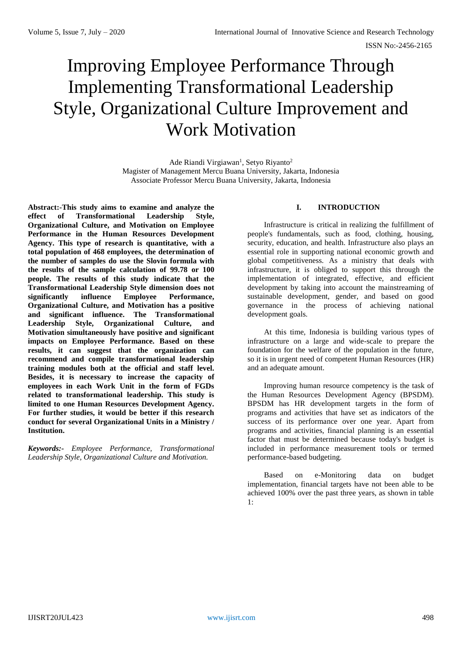# Improving Employee Performance Through Implementing Transformational Leadership Style, Organizational Culture Improvement and Work Motivation

Ade Riandi Virgiawan<sup>1</sup>, Setyo Riyanto<sup>2</sup> Magister of Management Mercu Buana University, Jakarta, Indonesia Associate Professor Mercu Buana University, Jakarta, Indonesia

**Abstract:-This study aims to examine and analyze the effect of Transformational Leadership Style, Organizational Culture, and Motivation on Employee Performance in the Human Resources Development Agency. This type of research is quantitative, with a total population of 468 employees, the determination of the number of samples do use the Slovin formula with the results of the sample calculation of 99.78 or 100 people. The results of this study indicate that the Transformational Leadership Style dimension does not significantly influence Employee Performance, Organizational Culture, and Motivation has a positive and significant influence. The Transformational Leadership Style, Organizational Culture, and Motivation simultaneously have positive and significant impacts on Employee Performance. Based on these results, it can suggest that the organization can recommend and compile transformational leadership training modules both at the official and staff level. Besides, it is necessary to increase the capacity of employees in each Work Unit in the form of FGDs related to transformational leadership. This study is limited to one Human Resources Development Agency. For further studies, it would be better if this research conduct for several Organizational Units in a Ministry / Institution.**

*Keywords:- Employee Performance, Transformational Leadership Style, Organizational Culture and Motivation.*

## **I. INTRODUCTION**

Infrastructure is critical in realizing the fulfillment of people's fundamentals, such as food, clothing, housing, security, education, and health. Infrastructure also plays an essential role in supporting national economic growth and global competitiveness. As a ministry that deals with infrastructure, it is obliged to support this through the implementation of integrated, effective, and efficient development by taking into account the mainstreaming of sustainable development, gender, and based on good governance in the process of achieving national development goals.

At this time, Indonesia is building various types of infrastructure on a large and wide-scale to prepare the foundation for the welfare of the population in the future, so it is in urgent need of competent Human Resources (HR) and an adequate amount.

Improving human resource competency is the task of the Human Resources Development Agency (BPSDM). BPSDM has HR development targets in the form of programs and activities that have set as indicators of the success of its performance over one year. Apart from programs and activities, financial planning is an essential factor that must be determined because today's budget is included in performance measurement tools or termed performance-based budgeting.

Based on e-Monitoring data on budget implementation, financial targets have not been able to be achieved 100% over the past three years, as shown in table 1: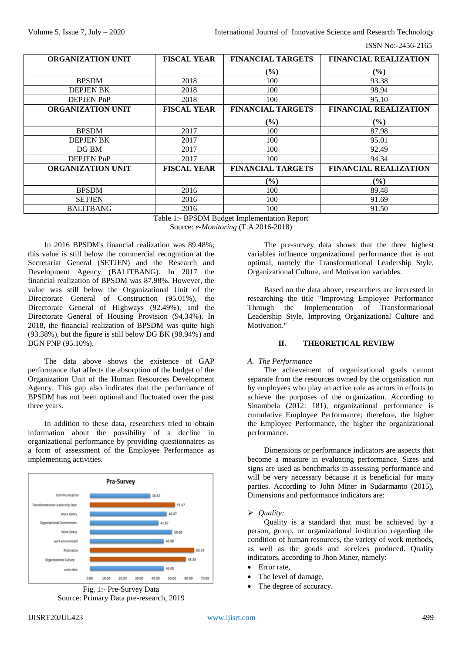ISSN No:-2456-2165

| <b>ORGANIZATION UNIT</b> | <b>FISCAL YEAR</b>                   | <b>FINANCIAL TARGETS</b>           | <b>FINANCIAL REALIZATION</b> |
|--------------------------|--------------------------------------|------------------------------------|------------------------------|
|                          |                                      | $\frac{9}{6}$                      | $($ %)                       |
| <b>BPSDM</b>             | 2018                                 | 100                                | 93.38                        |
| <b>DEPJEN BK</b>         | 2018                                 | 100                                | 98.94                        |
| <b>DEPJEN PnP</b>        | 2018                                 | 100                                | 95.10                        |
| <b>ORGANIZATION UNIT</b> | <b>FISCAL YEAR</b>                   | <b>FINANCIAL TARGETS</b>           | <b>FINANCIAL REALIZATION</b> |
|                          |                                      | $(\%)$                             | $($ %)                       |
| <b>BPSDM</b>             | 2017                                 | 100                                | 87.98                        |
| <b>DEPJEN BK</b>         | 2017                                 | 100                                | 95.01                        |
| DG BM                    | 2017                                 | 100                                | 92.49                        |
| <b>DEPJEN PnP</b>        | 2017                                 | 100                                | 94.34                        |
| <b>ORGANIZATION UNIT</b> | <b>FISCAL YEAR</b>                   | <b>FINANCIAL TARGETS</b>           | <b>FINANCIAL REALIZATION</b> |
|                          |                                      | $(\%)$                             | $($ %)                       |
| <b>BPSDM</b>             | 2016                                 | 100                                | 89.48                        |
| <b>SETJEN</b>            | 2016                                 | 100                                | 91.69                        |
| <b>BALITBANG</b>         | 2016<br><b>m</b> 11 1<br>PPRINID 1.1 | 100<br>$\sqrt{ }$<br>$\sim$ $\sim$ | 91.50                        |

Table 1:- BPSDM Budget Implementation Report Source: *e-Monitoring* (T.A 2016-2018)

In 2016 BPSDM's financial realization was 89.48%; this value is still below the commercial recognition at the Secretariat General (SETJEN) and the Research and Development Agency (BALITBANG). In 2017 the financial realization of BPSDM was 87.98%. However, the value was still below the Organizational Unit of the Directorate General of Construction (95.01%), the Directorate General of Highways (92.49%), and the Directorate General of Housing Provision (94.34%). In 2018, the financial realization of BPSDM was quite high (93.38%), but the figure is still below DG BK (98.94%) and DGN PNP (95.10%).

The data above shows the existence of GAP performance that affects the absorption of the budget of the Organization Unit of the Human Resources Development Agency. This gap also indicates that the performance of BPSDM has not been optimal and fluctuated over the past three years.

In addition to these data, researchers tried to obtain information about the possibility of a decline in organizational performance by providing questionnaires as a form of assessment of the Employee Performance as implementing activities.





The pre-survey data shows that the three highest variables influence organizational performance that is not optimal, namely the Transformational Leadership Style, Organizational Culture, and Motivation variables.

Based on the data above, researchers are interested in researching the title "Improving Employee Performance Through the Implementation of Transformational Leadership Style, Improving Organizational Culture and Motivation."

# **II. THEORETICAL REVIEW**

### *A. The Performance*

The achievement of organizational goals cannot separate from the resources owned by the organization run by employees who play an active role as actors in efforts to achieve the purposes of the organization. According to Sinambela (2012: 181), organizational performance is cumulative Employee Performance; therefore, the higher the Employee Performance, the higher the organizational performance.

Dimensions or performance indicators are aspects that become a measure in evaluating performance. Sizes and signs are used as benchmarks in assessing performance and will be very necessary because it is beneficial for many parties. According to John Miner in Sudarmanto (2015), Dimensions and performance indicators are:

### *Quality:*

Quality is a standard that must be achieved by a person, group, or organizational institution regarding the condition of human resources, the variety of work methods, as well as the goods and services produced. Quality indicators, according to Jhon Miner, namely:

- Error rate,
- The level of damage,
- The degree of accuracy.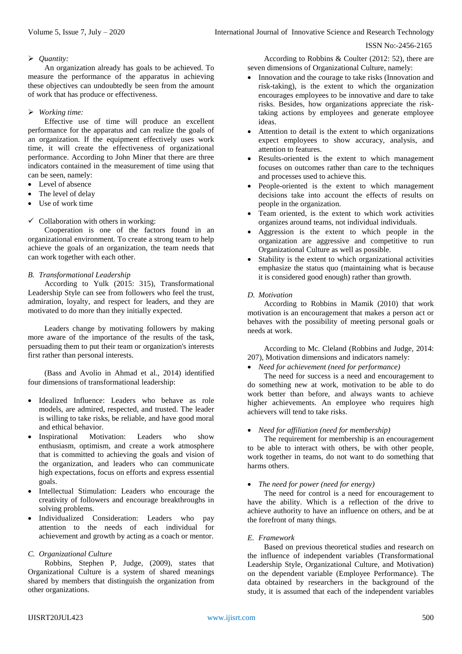#### ISSN No:-2456-2165

### *Quantity:*

An organization already has goals to be achieved. To measure the performance of the apparatus in achieving these objectives can undoubtedly be seen from the amount of work that has produce or effectiveness.

### *Working time:*

Effective use of time will produce an excellent performance for the apparatus and can realize the goals of an organization. If the equipment effectively uses work time, it will create the effectiveness of organizational performance. According to John Miner that there are three indicators contained in the measurement of time using that can be seen, namely:

- Level of absence
- The level of delay
- Use of work time
- $\checkmark$  Collaboration with others in working:

Cooperation is one of the factors found in an organizational environment. To create a strong team to help achieve the goals of an organization, the team needs that can work together with each other.

### *B. Transformational Leadership*

According to Yulk (2015: 315), Transformational Leadership Style can see from followers who feel the trust, admiration, loyalty, and respect for leaders, and they are motivated to do more than they initially expected.

Leaders change by motivating followers by making more aware of the importance of the results of the task, persuading them to put their team or organization's interests first rather than personal interests.

(Bass and Avolio in Ahmad et al., 2014) identified four dimensions of transformational leadership:

- Idealized Influence: Leaders who behave as role models, are admired, respected, and trusted. The leader is willing to take risks, be reliable, and have good moral and ethical behavior.
- Inspirational Motivation: Leaders who show enthusiasm, optimism, and create a work atmosphere that is committed to achieving the goals and vision of the organization, and leaders who can communicate high expectations, focus on efforts and express essential goals.
- Intellectual Stimulation: Leaders who encourage the creativity of followers and encourage breakthroughs in solving problems.
- Individualized Consideration: Leaders who pay attention to the needs of each individual for achievement and growth by acting as a coach or mentor.

### *C. Organizational Culture*

Robbins, Stephen P, Judge, (2009), states that Organizational Culture is a system of shared meanings shared by members that distinguish the organization from other organizations.

According to Robbins & Coulter (2012: 52), there are seven dimensions of Organizational Culture, namely:

- Innovation and the courage to take risks (Innovation and risk-taking), is the extent to which the organization encourages employees to be innovative and dare to take risks. Besides, how organizations appreciate the risktaking actions by employees and generate employee ideas.
- Attention to detail is the extent to which organizations expect employees to show accuracy, analysis, and attention to features.
- Results-oriented is the extent to which management focuses on outcomes rather than care to the techniques and processes used to achieve this.
- People-oriented is the extent to which management decisions take into account the effects of results on people in the organization.
- Team oriented, is the extent to which work activities organizes around teams, not individual individuals.
- Aggression is the extent to which people in the organization are aggressive and competitive to run Organizational Culture as well as possible.
- Stability is the extent to which organizational activities emphasize the status quo (maintaining what is because it is considered good enough) rather than growth.

### *D. Motivation*

According to Robbins in Mamik (2010) that work motivation is an encouragement that makes a person act or behaves with the possibility of meeting personal goals or needs at work.

According to Mc. Cleland (Robbins and Judge, 2014: 207), Motivation dimensions and indicators namely:

### *Need for achievement (need for performance)*

The need for success is a need and encouragement to do something new at work, motivation to be able to do work better than before, and always wants to achieve higher achievements. An employee who requires high achievers will tend to take risks.

### *Need for affiliation (need for membership)*

The requirement for membership is an encouragement to be able to interact with others, be with other people, work together in teams, do not want to do something that harms others.

### *The need for power (need for energy)*

The need for control is a need for encouragement to have the ability. Which is a reflection of the drive to achieve authority to have an influence on others, and be at the forefront of many things.

### *E. Framework*

Based on previous theoretical studies and research on the influence of independent variables (Transformational Leadership Style, Organizational Culture, and Motivation) on the dependent variable (Employee Performance). The data obtained by researchers in the background of the study, it is assumed that each of the independent variables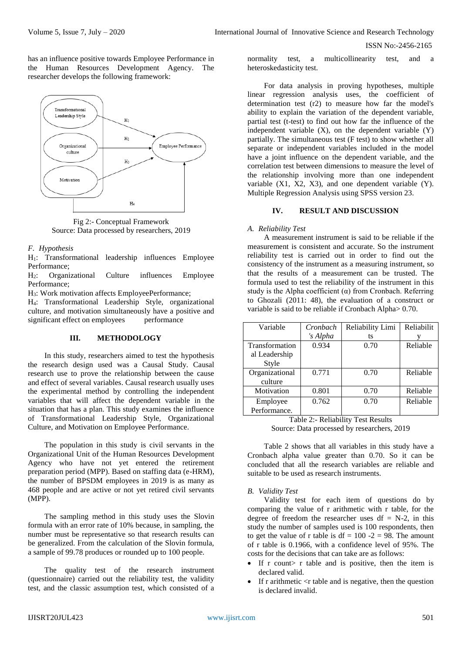ISSN No:-2456-2165

has an influence positive towards Employee Performance in the Human Resources Development Agency. The researcher develops the following framework:



Fig 2:- Conceptual Framework Source: Data processed by researchers, 2019

### *F. Hypothesis*

H1: Transformational leadership influences Employee Performance;

H2: Organizational Culture influences Employee Performance;

H3: Work motivation affects EmployeePerformance;

H4: Transformational Leadership Style, organizational culture, and motivation simultaneously have a positive and significant effect on employees performance

### **III. METHODOLOGY**

In this study, researchers aimed to test the hypothesis the research design used was a Causal Study. Causal research use to prove the relationship between the cause and effect of several variables. Causal research usually uses the experimental method by controlling the independent variables that will affect the dependent variable in the situation that has a plan. This study examines the influence of Transformational Leadership Style, Organizational Culture, and Motivation on Employee Performance.

The population in this study is civil servants in the Organizational Unit of the Human Resources Development Agency who have not yet entered the retirement preparation period (MPP). Based on staffing data (e-HRM), the number of BPSDM employees in 2019 is as many as 468 people and are active or not yet retired civil servants (MPP).

The sampling method in this study uses the Slovin formula with an error rate of 10% because, in sampling, the number must be representative so that research results can be generalized. From the calculation of the Slovin formula, a sample of 99.78 produces or rounded up to 100 people.

The quality test of the research instrument (questionnaire) carried out the reliability test, the validity test, and the classic assumption test, which consisted of a

normality test, a multicollinearity test, and a heteroskedasticity test.

For data analysis in proving hypotheses, multiple linear regression analysis uses, the coefficient of determination test (r2) to measure how far the model's ability to explain the variation of the dependent variable, partial test (t-test) to find out how far the influence of the independent variable  $(X)$ , on the dependent variable  $(Y)$ partially. The simultaneous test (F test) to show whether all separate or independent variables included in the model have a joint influence on the dependent variable, and the correlation test between dimensions to measure the level of the relationship involving more than one independent variable  $(X1, X2, X3)$ , and one dependent variable  $(Y)$ . Multiple Regression Analysis using SPSS version 23.

## **IV. RESULT AND DISCUSSION**

#### *A. Reliability Test*

A measurement instrument is said to be reliable if the measurement is consistent and accurate. So the instrument reliability test is carried out in order to find out the consistency of the instrument as a measuring instrument, so that the results of a measurement can be trusted. The formula used to test the reliability of the instrument in this study is the Alpha coefficient  $(\alpha)$  from Cronbach. Referring to Ghozali (2011: 48), the evaluation of a construct or variable is said to be reliable if Cronbach Alpha> 0.70.

| Variable       | Cronbach | Reliability Limi | Reliabilit |
|----------------|----------|------------------|------------|
|                | 's Alpha | ts               |            |
| Transformation | 0.934    | 0.70             | Reliable   |
| al Leadership  |          |                  |            |
| Style          |          |                  |            |
| Organizational | 0.771    | 0.70             | Reliable   |
| culture        |          |                  |            |
| Motivation     | 0.801    | 0.70             | Reliable   |
| Employee       | 0.762    | 0.70             | Reliable   |
| Performance.   |          |                  |            |

Table 2:- Reliability Test Results Source: Data processed by researchers, 2019

Table 2 shows that all variables in this study have a Cronbach alpha value greater than 0.70. So it can be concluded that all the research variables are reliable and suitable to be used as research instruments.

### *B. Validity Test*

Validity test for each item of questions do by comparing the value of r arithmetic with r table, for the degree of freedom the researcher uses  $df = N-2$ , in this study the number of samples used is 100 respondents, then to get the value of r table is  $df = 100 - 2 = 98$ . The amount of r table is 0.1966, with a confidence level of 95%. The costs for the decisions that can take are as follows:

- If r count  $\triangleright$  r table and is positive, then the item is declared valid.
- If r arithmetic  $\langle$  r table and is negative, then the question is declared invalid.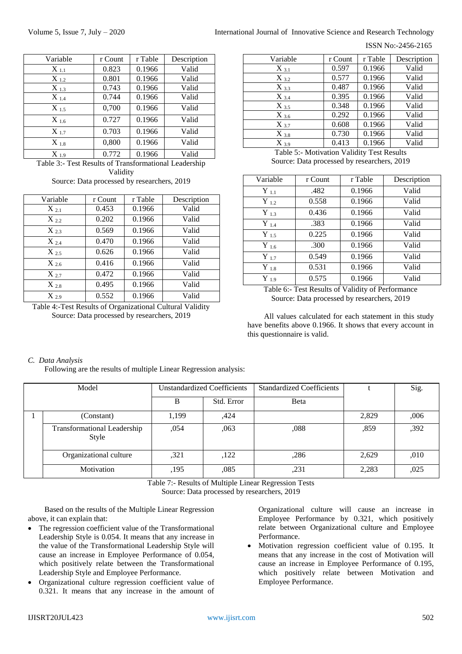#### ISSN No:-2456-2165

| Variable  | r Count | r Table | Description |
|-----------|---------|---------|-------------|
| $X_{1.1}$ | 0.823   | 0.1966  | Valid       |
| $X_{1.2}$ | 0.801   | 0.1966  | Valid       |
| $X_{13}$  | 0.743   | 0.1966  | Valid       |
| $X_{1.4}$ | 0.744   | 0.1966  | Valid       |
| $X_{1.5}$ | 0,700   | 0.1966  | Valid       |
| $X_{1.6}$ | 0.727   | 0.1966  | Valid       |
| $X_{17}$  | 0.703   | 0.1966  | Valid       |
| $X_{1.8}$ | 0,800   | 0.1966  | Valid       |
| $X_{1.9}$ | 0.772   | 0.1966  | Valid       |

Table 3:- Test Results of Transformational Leadership Validity

Source: Data processed by researchers, 2019

| Variable  | r Count | r Table | Description |
|-----------|---------|---------|-------------|
| $X_{2.1}$ | 0.453   | 0.1966  | Valid       |
| $X_{2,2}$ | 0.202   | 0.1966  | Valid       |
| $X_{23}$  | 0.569   | 0.1966  | Valid       |
| $X_{2.4}$ | 0.470   | 0.1966  | Valid       |
| $X_{2.5}$ | 0.626   | 0.1966  | Valid       |
| $X_{2.6}$ | 0.416   | 0.1966  | Valid       |
| $X_{27}$  | 0.472   | 0.1966  | Valid       |
| $X_{28}$  | 0.495   | 0.1966  | Valid       |
| $X_{29}$  | 0.552   | 0.1966  | Valid       |

Table 4:-Test Results of Organizational Cultural Validity Source: Data processed by researchers, 2019

| Variable  | r Count | r Table | Description |
|-----------|---------|---------|-------------|
| $X_{3.1}$ | 0.597   | 0.1966  | Valid       |
| $X_{3.2}$ | 0.577   | 0.1966  | Valid       |
| $X_{3,3}$ | 0.487   | 0.1966  | Valid       |
| $X_{3.4}$ | 0.395   | 0.1966  | Valid       |
| $X_{3.5}$ | 0.348   | 0.1966  | Valid       |
| $X_{3.6}$ | 0.292   | 0.1966  | Valid       |
| $X_{3.7}$ | 0.608   | 0.1966  | Valid       |
| $X_{3.8}$ | 0.730   | 0.1966  | Valid       |
| $X_{3.9}$ | 0.413   | 0.1966  | Valid       |

Table 5:- Motivation Validity Test Results Source: Data processed by researchers, 2019

| Variable  | r Count | r Table | Description |
|-----------|---------|---------|-------------|
| $Y_{1.1}$ | .482    | 0.1966  | Valid       |
| $Y_{1,2}$ | 0.558   | 0.1966  | Valid       |
| $Y_{1,3}$ | 0.436   | 0.1966  | Valid       |
| $Y_{1.4}$ | .383    | 0.1966  | Valid       |
| $Y_{1.5}$ | 0.225   | 0.1966  | Valid       |
| $Y_{1.6}$ | .300    | 0.1966  | Valid       |
| $Y_{1.7}$ | 0.549   | 0.1966  | Valid       |
| $Y_{1.8}$ | 0.531   | 0.1966  | Valid       |
| $Y_{1.9}$ | 0.575   | 0.1966  | Valid       |

Table 6:- Test Results of Validity of Performance Source: Data processed by researchers, 2019

All values calculated for each statement in this study have benefits above 0.1966. It shows that every account in this questionnaire is valid.

# *C. Data Analysis*

Following are the results of multiple Linear Regression analysis:

| Model                                | <b>Unstandardized Coefficients</b> |            | <b>Standardized Coefficients</b> |       | Sig. |
|--------------------------------------|------------------------------------|------------|----------------------------------|-------|------|
|                                      | B                                  | Std. Error | Beta                             |       |      |
| (Constant)                           | 1,199                              | .424       |                                  | 2,829 | ,006 |
| Transformational Leadership<br>Style | ,054                               | ,063       | ,088                             | ,859  | ,392 |
| Organizational culture               | ,321                               | ,122       | ,286                             | 2,629 | ,010 |
| Motivation                           | ,195                               | ,085       | ,231                             | 2,283 | ,025 |

Table 7:- Results of Multiple Linear Regression Tests

Source: Data processed by researchers, 2019

Based on the results of the Multiple Linear Regression above, it can explain that:

- The regression coefficient value of the Transformational Leadership Style is 0.054. It means that any increase in the value of the Transformational Leadership Style will cause an increase in Employee Performance of 0.054, which positively relate between the Transformational Leadership Style and Employee Performance.
- Organizational culture regression coefficient value of 0.321. It means that any increase in the amount of

Organizational culture will cause an increase in Employee Performance by 0.321, which positively relate between Organizational culture and Employee Performance.

 Motivation regression coefficient value of 0.195. It means that any increase in the cost of Motivation will cause an increase in Employee Performance of 0.195, which positively relate between Motivation and Employee Performance.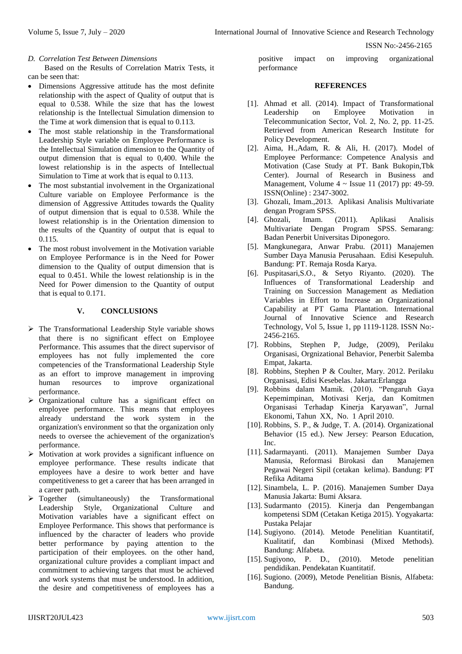ISSN No:-2456-2165

#### *D. Correlation Test Between Dimensions*

Based on the Results of Correlation Matrix Tests, it can be seen that:

- Dimensions Aggressive attitude has the most definite relationship with the aspect of Quality of output that is equal to 0.538. While the size that has the lowest relationship is the Intellectual Simulation dimension to the Time at work dimension that is equal to 0.113.
- The most stable relationship in the Transformational Leadership Style variable on Employee Performance is the Intellectual Simulation dimension to the Quantity of output dimension that is equal to 0,400. While the lowest relationship is in the aspects of Intellectual Simulation to Time at work that is equal to 0.113.
- The most substantial involvement in the Organizational Culture variable on Employee Performance is the dimension of Aggressive Attitudes towards the Quality of output dimension that is equal to 0.538. While the lowest relationship is in the Orientation dimension to the results of the Quantity of output that is equal to 0.115.
- The most robust involvement in the Motivation variable on Employee Performance is in the Need for Power dimension to the Quality of output dimension that is equal to 0.451. While the lowest relationship is in the Need for Power dimension to the Quantity of output that is equal to 0.171.

### **V. CONCLUSIONS**

- $\triangleright$  The Transformational Leadership Style variable shows that there is no significant effect on Employee Performance. This assumes that the direct supervisor of employees has not fully implemented the core competencies of the Transformational Leadership Style as an effort to improve management in improving human resources to improve organizational performance.
- $\triangleright$  Organizational culture has a significant effect on employee performance. This means that employees already understand the work system in the organization's environment so that the organization only needs to oversee the achievement of the organization's performance.
- Motivation at work provides a significant influence on employee performance. These results indicate that employees have a desire to work better and have competitiveness to get a career that has been arranged in a career path.
- $\triangleright$  Together (simultaneously) the Transformational Leadership Style, Organizational Culture and Motivation variables have a significant effect on Employee Performance. This shows that performance is influenced by the character of leaders who provide better performance by paying attention to the participation of their employees. on the other hand, organizational culture provides a compliant impact and commitment to achieving targets that must be achieved and work systems that must be understood. In addition, the desire and competitiveness of employees has a

positive impact on improving organizational performance

#### **REFERENCES**

- [1]. Ahmad et all. (2014). Impact of Transformational Leadership on Employee Motivation in Telecommunication Sector, Vol. 2, No. 2, pp. 11-25. Retrieved from American Research Institute for Policy Development.
- [2]. Aima, H.,Adam, R. & Ali, H. (2017). Model of Employee Performance: Competence Analysis and Motivation (Case Study at PT. Bank Bukopin,Tbk Center). Journal of Research in Business and Management, Volume  $4 \sim$  Issue 11 (2017) pp: 49-59. ISSN(Online) : 2347-3002.
- [3]. Ghozali, Imam.,2013. Aplikasi Analisis Multivariate dengan Program SPSS.
- [4]. Ghozali, Imam. (2011). Aplikasi Analisis Multivariate Dengan Program SPSS. Semarang: Badan Penerbit Universitas Diponegoro.
- [5]. Mangkunegara, Anwar Prabu. (2011) Manajemen Sumber Daya Manusia Perusahaan. Edisi Kesepuluh. Bandung: PT. Remaja Rosda Karya.
- [6]. Puspitasari,S.O., & Setyo Riyanto. (2020). The Influences of Transformational Leadership and Training on Succession Management as Mediation Variables in Effort to Increase an Organizational Capability at PT Gama Plantation. International Journal of Innovative Science and Research Technology, Vol 5, Issue 1, pp 1119-1128. ISSN No:- 2456-2165.
- [7]. Robbins, Stephen P, Judge, (2009), Perilaku Organisasi, Orgnizational Behavior, Penerbit Salemba Empat, Jakarta.
- [8]. Robbins, Stephen P & Coulter, Mary. 2012. Perilaku Organisasi, Edisi Kesebelas. Jakarta:Erlangga
- [9]. Robbins dalam Mamik. (2010). "Pengaruh Gaya Kepemimpinan, Motivasi Kerja, dan Komitmen Organisasi Terhadap Kinerja Karyawan", Jurnal Ekonomi, Tahun XX, No. 1 April 2010.
- [10]. Robbins, S. P., & Judge, T. A. (2014). Organizational Behavior (15 ed.). New Jersey: Pearson Education, Inc.
- [11]. Sadarmayanti. (2011). Manajemen Sumber Daya Manusia, Reformasi Birokasi dan Manajemen Pegawai Negeri Sipil (cetakan kelima). Bandung: PT Refika Aditama
- [12]. Sinambela, L. P. (2016). Manajemen Sumber Daya Manusia Jakarta: Bumi Aksara.
- [13]. Sudarmanto (2015). Kinerja dan Pengembangan kompetensi SDM (Cetakan Ketiga 2015). Yogyakarta: Pustaka Pelajar
- [14]. Sugiyono. (2014). Metode Penelitian Kuantitatif, Kualitatif, dan Kombinasi (Mixed Methods). Bandung: Alfabeta.
- [15]. Sugiyono, P. D., (2010). Metode penelitian pendidikan. Pendekatan Kuantitatif.
- [16]. Sugiono. (2009), Metode Penelitian Bisnis, Alfabeta: Bandung.